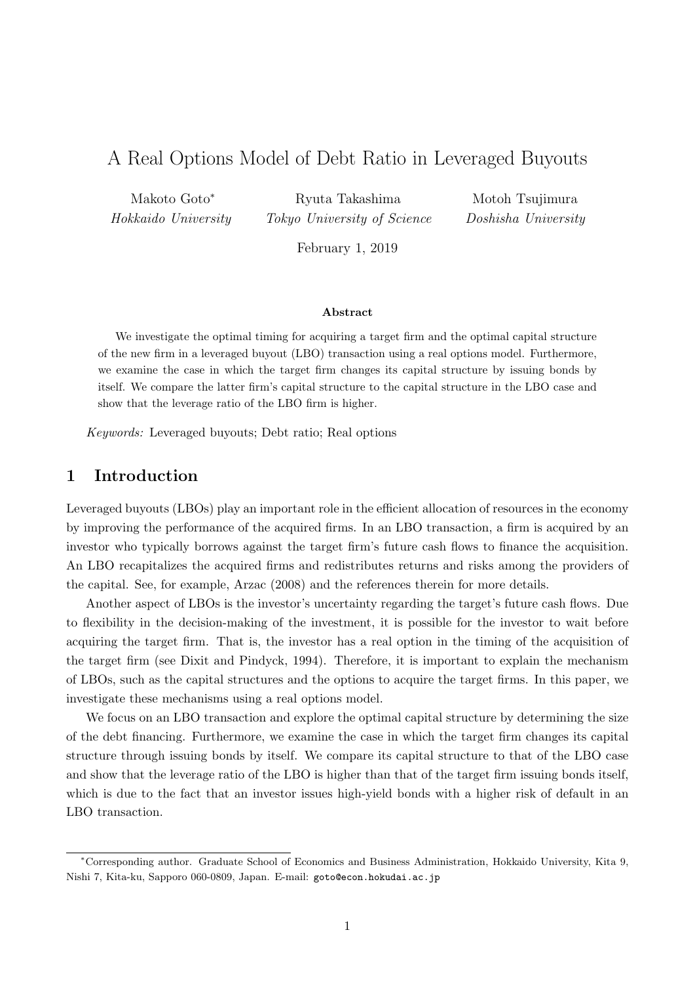# A Real Options Model of Debt Ratio in Leveraged Buyouts

Makoto Goto*<sup>∗</sup> Hokkaido University*

Ryuta Takashima *Tokyo University of Science*

Motoh Tsujimura *Doshisha University*

February 1, 2019

#### **Abstract**

We investigate the optimal timing for acquiring a target firm and the optimal capital structure of the new firm in a leveraged buyout (LBO) transaction using a real options model. Furthermore, we examine the case in which the target firm changes its capital structure by issuing bonds by itself. We compare the latter firm's capital structure to the capital structure in the LBO case and show that the leverage ratio of the LBO firm is higher.

*Keywords:* Leveraged buyouts; Debt ratio; Real options

## **1 Introduction**

Leveraged buyouts (LBOs) play an important role in the efficient allocation of resources in the economy by improving the performance of the acquired firms. In an LBO transaction, a firm is acquired by an investor who typically borrows against the target firm's future cash flows to finance the acquisition. An LBO recapitalizes the acquired firms and redistributes returns and risks among the providers of the capital. See, for example, Arzac (2008) and the references therein for more details.

Another aspect of LBOs is the investor's uncertainty regarding the target's future cash flows. Due to flexibility in the decision-making of the investment, it is possible for the investor to wait before acquiring the target firm. That is, the investor has a real option in the timing of the acquisition of the target firm (see Dixit and Pindyck, 1994). Therefore, it is important to explain the mechanism of LBOs, such as the capital structures and the options to acquire the target firms. In this paper, we investigate these mechanisms using a real options model.

We focus on an LBO transaction and explore the optimal capital structure by determining the size of the debt financing. Furthermore, we examine the case in which the target firm changes its capital structure through issuing bonds by itself. We compare its capital structure to that of the LBO case and show that the leverage ratio of the LBO is higher than that of the target firm issuing bonds itself, which is due to the fact that an investor issues high-yield bonds with a higher risk of default in an LBO transaction.

*<sup>∗</sup>*Corresponding author. Graduate School of Economics and Business Administration, Hokkaido University, Kita 9, Nishi 7, Kita-ku, Sapporo 060-0809, Japan. E-mail: goto@econ.hokudai.ac.jp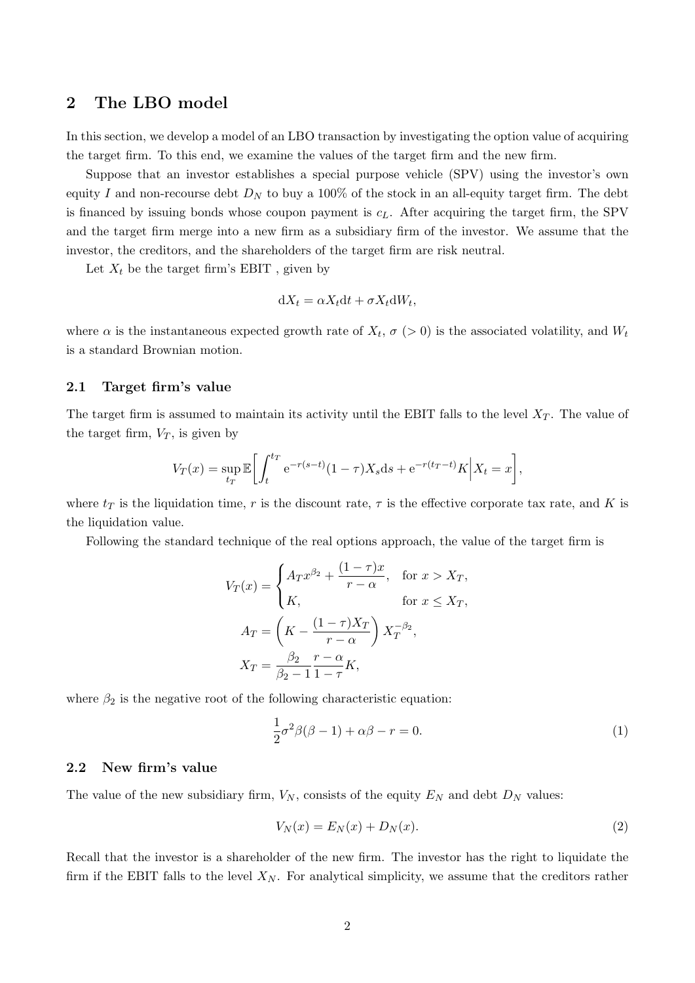### **2 The LBO model**

In this section, we develop a model of an LBO transaction by investigating the option value of acquiring the target firm. To this end, we examine the values of the target firm and the new firm.

Suppose that an investor establishes a special purpose vehicle (SPV) using the investor's own equity *I* and non-recourse debt  $D<sub>N</sub>$  to buy a 100% of the stock in an all-equity target firm. The debt is financed by issuing bonds whose coupon payment is *cL*. After acquiring the target firm, the SPV and the target firm merge into a new firm as a subsidiary firm of the investor. We assume that the investor, the creditors, and the shareholders of the target firm are risk neutral.

Let  $X_t$  be the target firm's EBIT, given by

$$
dX_t = \alpha X_t dt + \sigma X_t dW_t,
$$

where  $\alpha$  is the instantaneous expected growth rate of  $X_t$ ,  $\sigma$  (> 0) is the associated volatility, and  $W_t$ is a standard Brownian motion.

#### **2.1 Target firm's value**

The target firm is assumed to maintain its activity until the EBIT falls to the level  $X_T$ . The value of the target firm,  $V_T$ , is given by

$$
V_T(x) = \sup_{t_T} \mathbb{E} \bigg[ \int_t^{t_T} e^{-r(s-t)} (1-\tau) X_s ds + e^{-r(t_T-t)} K \bigg| X_t = x \bigg],
$$

where  $t_T$  is the liquidation time, r is the discount rate,  $\tau$  is the effective corporate tax rate, and K is the liquidation value.

Following the standard technique of the real options approach, the value of the target firm is

$$
V_T(x) = \begin{cases} A_T x^{\beta_2} + \frac{(1-\tau)x}{r-\alpha}, & \text{for } x > X_T, \\ K, & \text{for } x \le X_T, \end{cases}
$$

$$
A_T = \left( K - \frac{(1-\tau)X_T}{r-\alpha} \right) X_T^{-\beta_2},
$$

$$
X_T = \frac{\beta_2}{\beta_2 - 1} \frac{r-\alpha}{1-\tau} K,
$$

where  $\beta_2$  is the negative root of the following characteristic equation:

$$
\frac{1}{2}\sigma^2\beta(\beta - 1) + \alpha\beta - r = 0.
$$
\n(1)

#### **2.2 New firm's value**

The value of the new subsidiary firm,  $V_N$ , consists of the equity  $E_N$  and debt  $D_N$  values:

$$
V_N(x) = E_N(x) + D_N(x). \tag{2}
$$

Recall that the investor is a shareholder of the new firm. The investor has the right to liquidate the firm if the EBIT falls to the level *X<sup>N</sup>* . For analytical simplicity, we assume that the creditors rather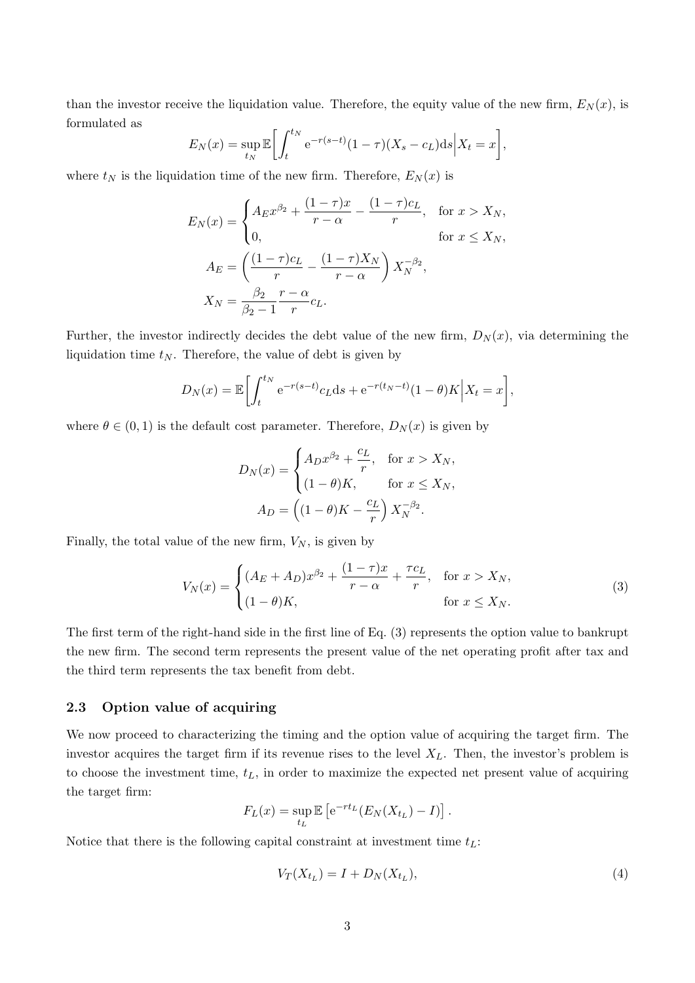than the investor receive the liquidation value. Therefore, the equity value of the new firm,  $E_N(x)$ , is formulated as

$$
E_N(x) = \sup_{t_N} \mathbb{E}\bigg[\int_t^{t_N} e^{-r(s-t)}(1-\tau)(X_s - c_L)ds\bigg|X_t = x\bigg],
$$

where  $t_N$  is the liquidation time of the new firm. Therefore,  $E_N(x)$  is

$$
E_N(x) = \begin{cases} A_E x^{\beta_2} + \frac{(1-\tau)x}{r-\alpha} - \frac{(1-\tau)c_L}{r}, & \text{for } x > X_N, \\ 0, & \text{for } x \le X_N, \end{cases}
$$

$$
A_E = \left(\frac{(1-\tau)c_L}{r} - \frac{(1-\tau)X_N}{r-\alpha}\right) X_N^{-\beta_2},
$$

$$
X_N = \frac{\beta_2}{\beta_2 - 1} \frac{r-\alpha}{r} c_L.
$$

Further, the investor indirectly decides the debt value of the new firm,  $D<sub>N</sub>(x)$ , via determining the liquidation time  $t_N$ . Therefore, the value of debt is given by

$$
D_N(x) = \mathbb{E}\bigg[\int_t^{t_N} e^{-r(s-t)} c_L ds + e^{-r(t_N-t)} (1-\theta)K \bigg| X_t = x\bigg],
$$

where  $\theta \in (0,1)$  is the default cost parameter. Therefore,  $D_N(x)$  is given by

$$
D_N(x) = \begin{cases} A_D x^{\beta_2} + \frac{c_L}{r}, & \text{for } x > X_N, \\ (1 - \theta)K, & \text{for } x \le X_N, \end{cases}
$$

$$
A_D = \left( (1 - \theta)K - \frac{c_L}{r} \right) X_N^{-\beta_2}.
$$

Finally, the total value of the new firm,  $V_N$ , is given by

$$
V_N(x) = \begin{cases} (A_E + A_D)x^{\beta_2} + \frac{(1 - \tau)x}{r - \alpha} + \frac{\tau c_L}{r}, & \text{for } x > X_N, \\ (1 - \theta)K, & \text{for } x \le X_N. \end{cases}
$$
(3)

The first term of the right-hand side in the first line of Eq. (3) represents the option value to bankrupt the new firm. The second term represents the present value of the net operating profit after tax and the third term represents the tax benefit from debt.

#### **2.3 Option value of acquiring**

We now proceed to characterizing the timing and the option value of acquiring the target firm. The investor acquires the target firm if its revenue rises to the level *XL*. Then, the investor's problem is to choose the investment time, *tL*, in order to maximize the expected net present value of acquiring the target firm:

$$
F_L(x) = \sup_{t_L} \mathbb{E}\left[e^{-rt_L}(E_N(X_{t_L}) - I)\right].
$$

Notice that there is the following capital constraint at investment time  $t_L$ :

$$
V_T(X_{t_L}) = I + D_N(X_{t_L}),
$$
\n(4)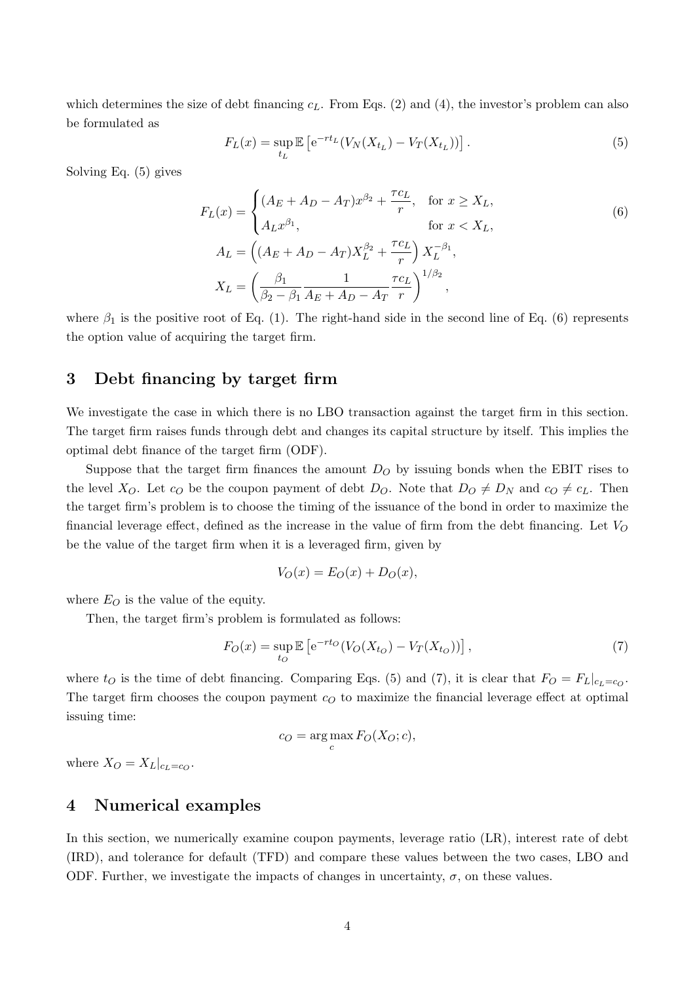which determines the size of debt financing  $c<sub>L</sub>$ . From Eqs. (2) and (4), the investor's problem can also be formulated as

$$
F_L(x) = \sup_{t_L} \mathbb{E}\left[e^{-rt_L}(V_N(X_{t_L}) - V_T(X_{t_L}))\right].\tag{5}
$$

Solving Eq. (5) gives

$$
F_L(x) = \begin{cases} (A_E + A_D - A_T)x^{\beta_2} + \frac{\tau c_L}{r}, & \text{for } x \ge X_L, \\ A_L x^{\beta_1}, & \text{for } x < X_L, \end{cases}
$$
\n
$$
A_L = \left( (A_E + A_D - A_T)X_L^{\beta_2} + \frac{\tau c_L}{r} \right) X_L^{-\beta_1},
$$
\n
$$
X_L = \left( \frac{\beta_1}{\beta_2 - \beta_1} \frac{1}{A_E + A_D - A_T} \frac{\tau c_L}{r} \right)^{1/\beta_2},
$$
\n(6)

where  $\beta_1$  is the positive root of Eq. (1). The right-hand side in the second line of Eq. (6) represents the option value of acquiring the target firm.

# **3 Debt financing by target firm**

We investigate the case in which there is no LBO transaction against the target firm in this section. The target firm raises funds through debt and changes its capital structure by itself. This implies the optimal debt finance of the target firm (ODF).

Suppose that the target firm finances the amount  $D<sub>O</sub>$  by issuing bonds when the EBIT rises to the level  $X_O$ . Let  $c_O$  be the coupon payment of debt  $D_O$ . Note that  $D_O \neq D_N$  and  $c_O \neq c_L$ . Then the target firm's problem is to choose the timing of the issuance of the bond in order to maximize the financial leverage effect, defined as the increase in the value of firm from the debt financing. Let *V<sup>O</sup>* be the value of the target firm when it is a leveraged firm, given by

$$
V_O(x) = E_O(x) + D_O(x),
$$

where *E<sup>O</sup>* is the value of the equity.

Then, the target firm's problem is formulated as follows:

$$
F_O(x) = \sup_{t_O} \mathbb{E}\left[e^{-rt_O}(V_O(X_{t_O}) - V_T(X_{t_O}))\right],\tag{7}
$$

where  $t_O$  is the time of debt financing. Comparing Eqs. (5) and (7), it is clear that  $F_O = F_L|_{c_L=c_O}$ . The target firm chooses the coupon payment  $c<sub>O</sub>$  to maximize the financial leverage effect at optimal issuing time:

$$
c_O = \arg\max_c F_O(X_O; c),
$$

where  $X_O = X_L|_{c_L = c_O}$ .

## **4 Numerical examples**

In this section, we numerically examine coupon payments, leverage ratio (LR), interest rate of debt (IRD), and tolerance for default (TFD) and compare these values between the two cases, LBO and ODF. Further, we investigate the impacts of changes in uncertainty,  $\sigma$ , on these values.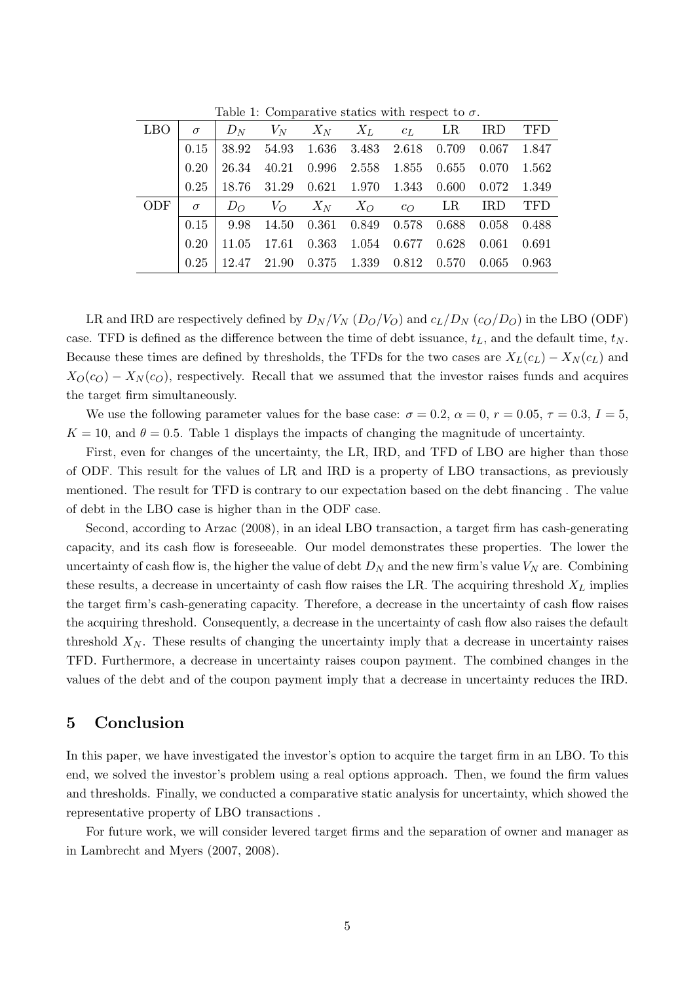| TWOIC I. COMPARANTIC DRAMIOD HIGH LODDOOR TO 0. |          |       |  |  |  |                                                 |  |         |       |
|-------------------------------------------------|----------|-------|--|--|--|-------------------------------------------------|--|---------|-------|
| LBO.                                            | $\sigma$ | $D_N$ |  |  |  | $V_N$ $X_N$ $X_L$ $c_L$ LR                      |  | IRD TFD |       |
|                                                 | 0.15     |       |  |  |  | 38.92 54.93 1.636 3.483 2.618 0.709 0.067 1.847 |  |         |       |
|                                                 | 0.20     | 26.34 |  |  |  | 40.21 0.996 2.558 1.855 0.655 0.070 1.562       |  |         |       |
|                                                 | 0.25     |       |  |  |  | 18.76 31.29 0.621 1.970 1.343 0.600 0.072 1.349 |  |         |       |
| <b>ODF</b>                                      | $\sigma$ | $D_O$ |  |  |  | $V_O$ $X_N$ $X_O$ $c_O$ LR                      |  | IRD TFD |       |
|                                                 | 0.15     | 9.98  |  |  |  | 14.50 0.361 0.849 0.578 0.688 0.058 0.488       |  |         |       |
|                                                 | 0.20     | 11.05 |  |  |  | 17.61  0.363  1.054  0.677  0.628  0.061        |  |         | 0.691 |
|                                                 | 0.25     |       |  |  |  | 12.47 21.90 0.375 1.339 0.812 0.570 0.065 0.963 |  |         |       |

Table 1: Comparative statics with respect to *σ*.

LR and IRD are respectively defined by  $D_N/V_N$  ( $D_O/V_O$ ) and  $c_L/D_N$  ( $c_O/D_O$ ) in the LBO (ODF) case. TFD is defined as the difference between the time of debt issuance,  $t_L$ , and the default time,  $t_N$ . Because these times are defined by thresholds, the TFDs for the two cases are  $X_L(c_L) - X_N(c_L)$  and  $X_O(c_O) - X_N(c_O)$ , respectively. Recall that we assumed that the investor raises funds and acquires the target firm simultaneously.

We use the following parameter values for the base case:  $\sigma = 0.2$ ,  $\alpha = 0$ ,  $r = 0.05$ ,  $\tau = 0.3$ ,  $I = 5$ ,  $K = 10$ , and  $\theta = 0.5$ . Table 1 displays the impacts of changing the magnitude of uncertainty.

First, even for changes of the uncertainty, the LR, IRD, and TFD of LBO are higher than those of ODF. This result for the values of LR and IRD is a property of LBO transactions, as previously mentioned. The result for TFD is contrary to our expectation based on the debt financing . The value of debt in the LBO case is higher than in the ODF case.

Second, according to Arzac (2008), in an ideal LBO transaction, a target firm has cash-generating capacity, and its cash flow is foreseeable. Our model demonstrates these properties. The lower the uncertainty of cash flow is, the higher the value of debt  $D<sub>N</sub>$  and the new firm's value  $V<sub>N</sub>$  are. Combining these results, a decrease in uncertainty of cash flow raises the LR. The acquiring threshold *X<sup>L</sup>* implies the target firm's cash-generating capacity. Therefore, a decrease in the uncertainty of cash flow raises the acquiring threshold. Consequently, a decrease in the uncertainty of cash flow also raises the default threshold  $X_N$ . These results of changing the uncertainty imply that a decrease in uncertainty raises TFD. Furthermore, a decrease in uncertainty raises coupon payment. The combined changes in the values of the debt and of the coupon payment imply that a decrease in uncertainty reduces the IRD.

## **5 Conclusion**

In this paper, we have investigated the investor's option to acquire the target firm in an LBO. To this end, we solved the investor's problem using a real options approach. Then, we found the firm values and thresholds. Finally, we conducted a comparative static analysis for uncertainty, which showed the representative property of LBO transactions .

For future work, we will consider levered target firms and the separation of owner and manager as in Lambrecht and Myers (2007, 2008).